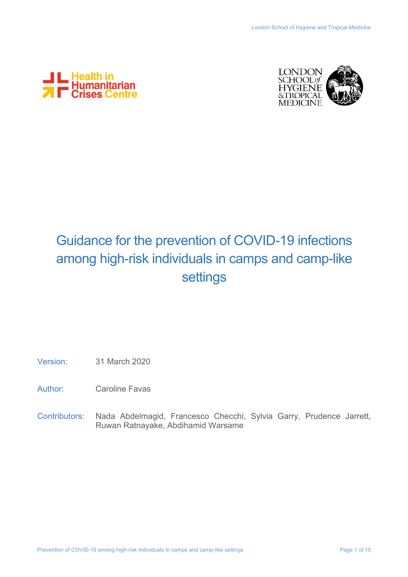



# Guidance for the prevention of COVID-19 infections among high-risk individuals in camps and camp-like settings

- Version: 31 March 2020
- Author: Caroline Favas
- Contributors: Nada Abdelmagid, Francesco Checchi, Sylvia Garry, Prudence Jarrett, Ruwan Ratnayake, Abdihamid Warsame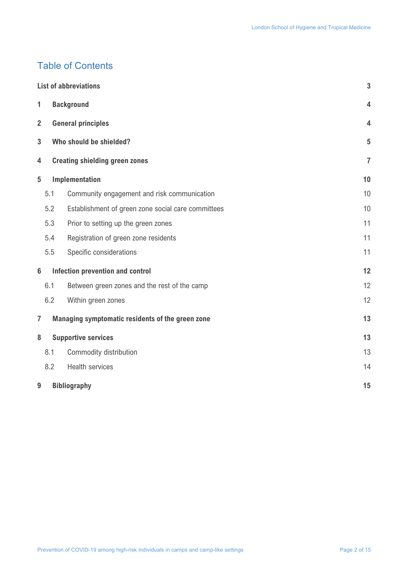## Table of Contents

|                     | <b>List of abbreviations</b> |                                                        |                |  |  |
|---------------------|------------------------------|--------------------------------------------------------|----------------|--|--|
| 1                   | <b>Background</b>            |                                                        |                |  |  |
| $\overline{2}$      |                              | <b>General principles</b>                              | $\overline{4}$ |  |  |
| 3                   | Who should be shielded?      |                                                        |                |  |  |
| 4                   |                              | <b>Creating shielding green zones</b>                  | $\overline{7}$ |  |  |
| Implementation<br>5 |                              | 10                                                     |                |  |  |
|                     | 5.1                          | Community engagement and risk communication            | 10             |  |  |
|                     | 5.2                          | Establishment of green zone social care committees     | 10             |  |  |
|                     | 5.3                          | Prior to setting up the green zones                    | 11             |  |  |
|                     | 5.4                          | Registration of green zone residents                   | 11             |  |  |
|                     | 5.5                          | Specific considerations                                | 11             |  |  |
| $6\phantom{1}$      |                              | <b>Infection prevention and control</b>                |                |  |  |
|                     | 6.1                          | Between green zones and the rest of the camp           | 12             |  |  |
|                     | 6.2                          | Within green zones                                     | 12             |  |  |
| $\overline{7}$      |                              | 13<br>Managing symptomatic residents of the green zone |                |  |  |
| 8                   |                              | <b>Supportive services</b>                             |                |  |  |
|                     | 8.1                          | Commodity distribution                                 | 13             |  |  |
|                     | 8.2                          | <b>Health services</b>                                 | 14             |  |  |
| 9                   |                              | 15<br><b>Bibliography</b>                              |                |  |  |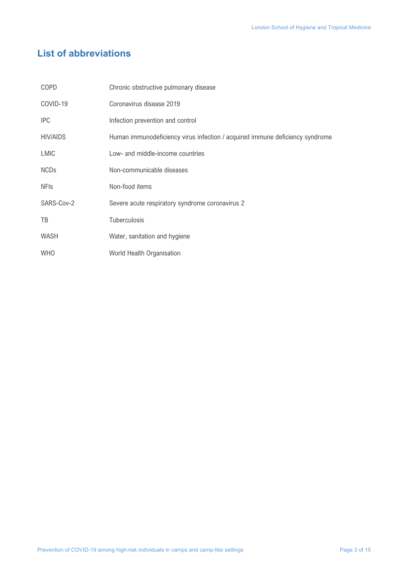## **List of abbreviations**

| COPD            | Chronic obstructive pulmonary disease                                        |
|-----------------|------------------------------------------------------------------------------|
| COVID-19        | Coronavirus disease 2019                                                     |
| <b>IPC</b>      | Infection prevention and control                                             |
| <b>HIV/AIDS</b> | Human immunodeficiency virus infection / acquired immune deficiency syndrome |
| LMIC            | Low- and middle-income countries                                             |
| <b>NCDs</b>     | Non-communicable diseases                                                    |
| <b>NFIs</b>     | Non-food items                                                               |
| SARS-Cov-2      | Severe acute respiratory syndrome coronavirus 2                              |
| TB              | Tuberculosis                                                                 |
| <b>WASH</b>     | Water, sanitation and hygiene                                                |
| <b>WHO</b>      | World Health Organisation                                                    |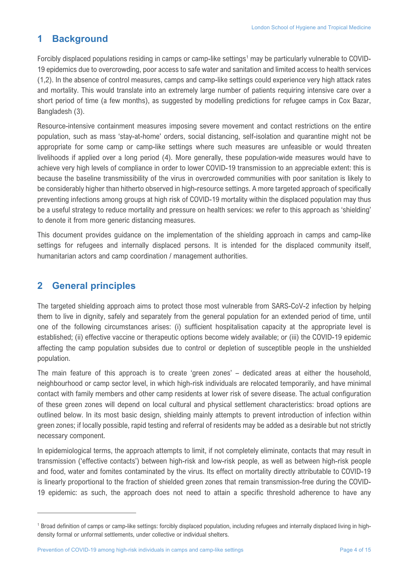## **1 Background**

Forcibly displaced populations residing in camps or camp-like settings<sup>1</sup> may be particularly vulnerable to COVID-19 epidemics due to overcrowding, poor access to safe water and sanitation and limited access to health services (1,2). In the absence of control measures, camps and camp-like settings could experience very high attack rates and mortality. This would translate into an extremely large number of patients requiring intensive care over a short period of time (a few months), as suggested by modelling predictions for refugee camps in Cox Bazar, Bangladesh (3).

Resource-intensive containment measures imposing severe movement and contact restrictions on the entire population, such as mass 'stay-at-home' orders, social distancing, self-isolation and quarantine might not be appropriate for some camp or camp-like settings where such measures are unfeasible or would threaten livelihoods if applied over a long period (4). More generally, these population-wide measures would have to achieve very high levels of compliance in order to lower COVID-19 transmission to an appreciable extent: this is because the baseline transmissibility of the virus in overcrowded communities with poor sanitation is likely to be considerably higher than hitherto observed in high-resource settings. A more targeted approach of specifically preventing infections among groups at high risk of COVID-19 mortality within the displaced population may thus be a useful strategy to reduce mortality and pressure on health services: we refer to this approach as 'shielding' to denote it from more generic distancing measures.

This document provides guidance on the implementation of the shielding approach in camps and camp-like settings for refugees and internally displaced persons. It is intended for the displaced community itself, humanitarian actors and camp coordination / management authorities.

## **2 General principles**

The targeted shielding approach aims to protect those most vulnerable from SARS-CoV-2 infection by helping them to live in dignity, safely and separately from the general population for an extended period of time, until one of the following circumstances arises: (i) sufficient hospitalisation capacity at the appropriate level is established; (ii) effective vaccine or therapeutic options become widely available; or (iii) the COVID-19 epidemic affecting the camp population subsides due to control or depletion of susceptible people in the unshielded population.

The main feature of this approach is to create 'green zones' – dedicated areas at either the household, neighbourhood or camp sector level, in which high-risk individuals are relocated temporarily, and have minimal contact with family members and other camp residents at lower risk of severe disease. The actual configuration of these green zones will depend on local cultural and physical settlement characteristics: broad options are outlined below. In its most basic design, shielding mainly attempts to prevent introduction of infection within green zones; if locally possible, rapid testing and referral of residents may be added as a desirable but not strictly necessary component.

In epidemiological terms, the approach attempts to limit, if not completely eliminate, contacts that may result in transmission ('effective contacts') between high-risk and low-risk people, as well as between high-risk people and food, water and fomites contaminated by the virus. Its effect on mortality directly attributable to COVID-19 is linearly proportional to the fraction of shielded green zones that remain transmission-free during the COVID-19 epidemic: as such, the approach does not need to attain a specific threshold adherence to have any

<sup>1</sup> Broad definition of camps or camp-like settings: forcibly displaced population, including refugees and internally displaced living in highdensity formal or unformal settlements, under collective or individual shelters.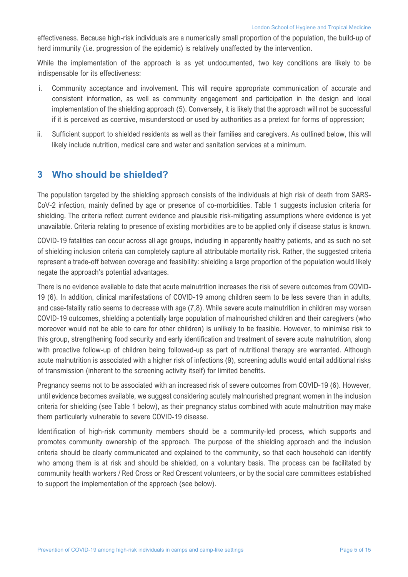effectiveness. Because high-risk individuals are a numerically small proportion of the population, the build-up of herd immunity (i.e. progression of the epidemic) is relatively unaffected by the intervention.

While the implementation of the approach is as yet undocumented, two key conditions are likely to be indispensable for its effectiveness:

- i. Community acceptance and involvement. This will require appropriate communication of accurate and consistent information, as well as community engagement and participation in the design and local implementation of the shielding approach (5). Conversely, it is likely that the approach will not be successful if it is perceived as coercive, misunderstood or used by authorities as a pretext for forms of oppression;
- ii. Sufficient support to shielded residents as well as their families and caregivers. As outlined below, this will likely include nutrition, medical care and water and sanitation services at a minimum.

## **3 Who should be shielded?**

The population targeted by the shielding approach consists of the individuals at high risk of death from SARS-CoV-2 infection, mainly defined by age or presence of co-morbidities. Table 1 suggests inclusion criteria for shielding. The criteria reflect current evidence and plausible risk-mitigating assumptions where evidence is yet unavailable. Criteria relating to presence of existing morbidities are to be applied only if disease status is known.

COVID-19 fatalities can occur across all age groups, including in apparently healthy patients, and as such no set of shielding inclusion criteria can completely capture all attributable mortality risk. Rather, the suggested criteria represent a trade-off between coverage and feasibility: shielding a large proportion of the population would likely negate the approach's potential advantages.

There is no evidence available to date that acute malnutrition increases the risk of severe outcomes from COVID-19 (6). In addition, clinical manifestations of COVID-19 among children seem to be less severe than in adults, and case-fatality ratio seems to decrease with age (7,8). While severe acute malnutrition in children may worsen COVID-19 outcomes, shielding a potentially large population of malnourished children and their caregivers (who moreover would not be able to care for other children) is unlikely to be feasible. However, to minimise risk to this group, strengthening food security and early identification and treatment of severe acute malnutrition, along with proactive follow-up of children being followed-up as part of nutritional therapy are warranted. Although acute malnutrition is associated with a higher risk of infections (9), screening adults would entail additional risks of transmission (inherent to the screening activity itself) for limited benefits.

Pregnancy seems not to be associated with an increased risk of severe outcomes from COVID-19 (6). However, until evidence becomes available, we suggest considering acutely malnourished pregnant women in the inclusion criteria for shielding (see Table 1 below), as their pregnancy status combined with acute malnutrition may make them particularly vulnerable to severe COVID-19 disease.

Identification of high-risk community members should be a community-led process, which supports and promotes community ownership of the approach. The purpose of the shielding approach and the inclusion criteria should be clearly communicated and explained to the community, so that each household can identify who among them is at risk and should be shielded, on a voluntary basis. The process can be facilitated by community health workers / Red Cross or Red Crescent volunteers, or by the social care committees established to support the implementation of the approach (see below).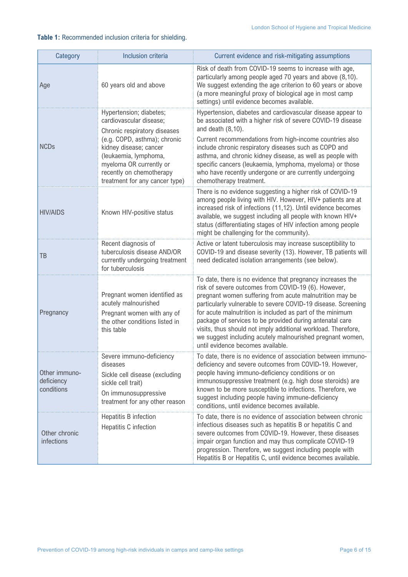### **Table 1:** Recommended inclusion criteria for shielding.

| Category                                  | Inclusion criteria                                                                                                                                                                                                                                             | Current evidence and risk-mitigating assumptions                                                                                                                                                                                                                                                                                                                                                                                                                                                                                          |
|-------------------------------------------|----------------------------------------------------------------------------------------------------------------------------------------------------------------------------------------------------------------------------------------------------------------|-------------------------------------------------------------------------------------------------------------------------------------------------------------------------------------------------------------------------------------------------------------------------------------------------------------------------------------------------------------------------------------------------------------------------------------------------------------------------------------------------------------------------------------------|
| Age                                       | 60 years old and above                                                                                                                                                                                                                                         | Risk of death from COVID-19 seems to increase with age,<br>particularly among people aged 70 years and above (8,10).<br>We suggest extending the age criterion to 60 years or above<br>(a more meaningful proxy of biological age in most camp<br>settings) until evidence becomes available.                                                                                                                                                                                                                                             |
| <b>NCDs</b>                               | Hypertension; diabetes;<br>cardiovascular disease;<br>Chronic respiratory diseases<br>(e.g. COPD, asthma); chronic<br>kidney disease; cancer<br>(leukaemia, lymphoma,<br>myeloma OR currently or<br>recently on chemotherapy<br>treatment for any cancer type) | Hypertension, diabetes and cardiovascular disease appear to<br>be associated with a higher risk of severe COVID-19 disease<br>and death $(8,10)$ .<br>Current recommendations from high-income countries also<br>include chronic respiratory diseases such as COPD and<br>asthma, and chronic kidney disease, as well as people with<br>specific cancers (leukaemia, lymphoma, myeloma) or those<br>who have recently undergone or are currently undergoing<br>chemotherapy treatment.                                                    |
| <b>HIV/AIDS</b>                           | Known HIV-positive status                                                                                                                                                                                                                                      | There is no evidence suggesting a higher risk of COVID-19<br>among people living with HIV. However, HIV+ patients are at<br>increased risk of infections (11,12). Until evidence becomes<br>available, we suggest including all people with known HIV+<br>status (differentiating stages of HIV infection among people<br>might be challenging for the community).                                                                                                                                                                        |
| TB                                        | Recent diagnosis of<br>tuberculosis disease AND/OR<br>currently undergoing treatment<br>for tuberculosis                                                                                                                                                       | Active or latent tuberculosis may increase susceptibility to<br>COVID-19 and disease severity (13). However, TB patients will<br>need dedicated isolation arrangements (see below).                                                                                                                                                                                                                                                                                                                                                       |
| Pregnancy                                 | Pregnant women identified as<br>acutely malnourished<br>Pregnant women with any of<br>the other conditions listed in<br>this table                                                                                                                             | To date, there is no evidence that pregnancy increases the<br>risk of severe outcomes from COVID-19 (6). However,<br>pregnant women suffering from acute malnutrition may be<br>particularly vulnerable to severe COVID-19 disease. Screening<br>for acute malnutrition is included as part of the minimum<br>package of services to be provided during antenatal care<br>visits, thus should not imply additional workload. Therefore,<br>we suggest including acutely malnourished pregnant women,<br>until evidence becomes available. |
| Other immuno-<br>deficiency<br>conditions | Severe immuno-deficiency<br>diseases<br>Sickle cell disease (excluding<br>sickle cell trait)<br>On immunosuppressive<br>treatment for any other reason                                                                                                         | To date, there is no evidence of association between immuno-<br>deficiency and severe outcomes from COVID-19. However,<br>people having immuno-deficiency conditions or on<br>immunosuppressive treatment (e.g. high dose steroids) are<br>known to be more susceptible to infections. Therefore, we<br>suggest including people having immune-deficiency<br>conditions, until evidence becomes available.                                                                                                                                |
| Other chronic<br>infections               | Hepatitis B infection<br>Hepatitis C infection                                                                                                                                                                                                                 | To date, there is no evidence of association between chronic<br>infectious diseases such as hepatitis B or hepatitis C and<br>severe outcomes from COVID-19. However, these diseases<br>impair organ function and may thus complicate COVID-19<br>progression. Therefore, we suggest including people with<br>Hepatitis B or Hepatitis C, until evidence becomes available.                                                                                                                                                               |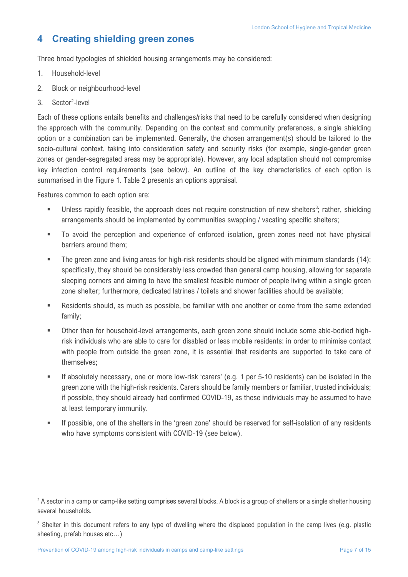## **4 Creating shielding green zones**

Three broad typologies of shielded housing arrangements may be considered:

- 1. Household-level
- 2. Block or neighbourhood-level
- 3. Sector<sup>2</sup>-level

Each of these options entails benefits and challenges/risks that need to be carefully considered when designing the approach with the community. Depending on the context and community preferences, a single shielding option or a combination can be implemented. Generally, the chosen arrangement(s) should be tailored to the socio-cultural context, taking into consideration safety and security risks (for example, single-gender green zones or gender-segregated areas may be appropriate). However, any local adaptation should not compromise key infection control requirements (see below). An outline of the key characteristics of each option is summarised in the Figure 1. Table 2 presents an options appraisal.

Features common to each option are:

- Unless rapidly feasible, the approach does not require construction of new shelters<sup>3</sup>; rather, shielding arrangements should be implemented by communities swapping / vacating specific shelters;
- To avoid the perception and experience of enforced isolation, green zones need not have physical barriers around them;
- The green zone and living areas for high-risk residents should be aligned with minimum standards (14); specifically, they should be considerably less crowded than general camp housing, allowing for separate sleeping corners and aiming to have the smallest feasible number of people living within a single green zone shelter; furthermore, dedicated latrines / toilets and shower facilities should be available;
- Residents should, as much as possible, be familiar with one another or come from the same extended family;
- Other than for household-level arrangements, each green zone should include some able-bodied highrisk individuals who are able to care for disabled or less mobile residents: in order to minimise contact with people from outside the green zone, it is essential that residents are supported to take care of themselves;
- § If absolutely necessary, one or more low-risk 'carers' (e.g. 1 per 5-10 residents) can be isolated in the green zone with the high-risk residents. Carers should be family members or familiar, trusted individuals; if possible, they should already had confirmed COVID-19, as these individuals may be assumed to have at least temporary immunity.
- § If possible, one of the shelters in the 'green zone' should be reserved for self-isolation of any residents who have symptoms consistent with COVID-19 (see below).

<sup>&</sup>lt;sup>2</sup> A sector in a camp or camp-like setting comprises several blocks. A block is a group of shelters or a single shelter housing several households.

<sup>&</sup>lt;sup>3</sup> Shelter in this document refers to any type of dwelling where the displaced population in the camp lives (e.g. plastic sheeting, prefab houses etc…)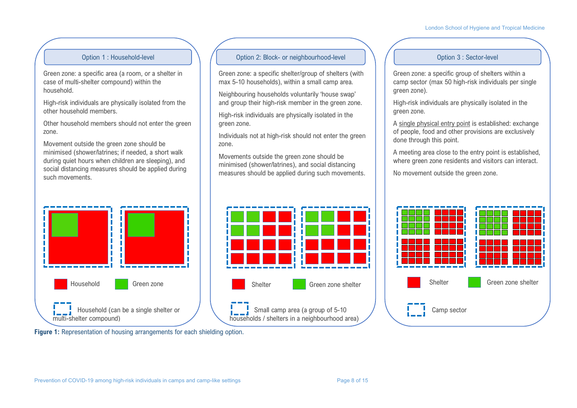#### London School of Hygiene and Tropical Medicine

Green zone: a specific area (a room, or a shelter in case of multi-shelter compound) within the household.

High-risk individuals are physically isolated from the other household members.

Other household members should not enter the green zone.

Movement outside the green zone should be minimised (shower/latrines; if needed, a short walk during quiet hours when children are sleeping), and social distancing measures should be applied during such movements.



#### Option 1 : Household-level  $\setminus$  / 0ption 2: Block- or neighbourhood-level  $\setminus$  / 0ption 3 : Sector-level

Green zone: a specific shelter/group of shelters (with max 5-10 households), within a small camp area.

Neighbouring households voluntarily 'house swap' and group their high-risk member in the green zone.

High-risk individuals are physically isolated in the green zone.

Individuals not at high-risk should not enter the green zone.

Movements outside the green zone should be minimised (shower/latrines), and social distancing measures should be applied during such movements.



Green zone: a specific group of shelters within a camp sector (max 50 high-risk individuals per single green zone).

High-risk individuals are physically isolated in the green zone.

A single physical entry point is established: exchange of people, food and other provisions are exclusively done through this point.

A meeting area close to the entry point is established, where green zone residents and visitors can interact.

No movement outside the green zone.



**Figure 1:** Representation of housing arrangements for each shielding option.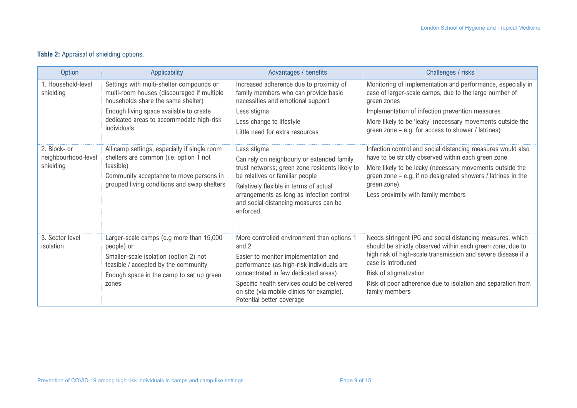#### **Table 2:** Appraisal of shielding options.

| <b>Option</b>                                    | Applicability                                                                                                                                                                                                                             | Advantages / benefits                                                                                                                                                                                                                                                                                     | Challenges / risks                                                                                                                                                                                                                                                                                                       |
|--------------------------------------------------|-------------------------------------------------------------------------------------------------------------------------------------------------------------------------------------------------------------------------------------------|-----------------------------------------------------------------------------------------------------------------------------------------------------------------------------------------------------------------------------------------------------------------------------------------------------------|--------------------------------------------------------------------------------------------------------------------------------------------------------------------------------------------------------------------------------------------------------------------------------------------------------------------------|
| 1. Household-level<br>shielding                  | Settings with multi-shelter compounds or<br>multi-room houses (discouraged if multiple<br>households share the same shelter)<br>Enough living space available to create<br>dedicated areas to accommodate high-risk<br><i>individuals</i> | Increased adherence due to proximity of<br>family members who can provide basic<br>necessities and emotional support<br>Less stigma<br>Less change to lifestyle<br>Little need for extra resources                                                                                                        | Monitoring of implementation and performance, especially in<br>case of larger-scale camps, due to the large number of<br>green zones<br>Implementation of infection prevention measures<br>More likely to be 'leaky' (necessary movements outside the<br>green zone – e.g. for access to shower / latrines)              |
| 2. Block- or<br>neighbourhood-level<br>shielding | All camp settings, especially if single room<br>shelters are common (i.e. option 1 not<br>feasible)<br>Community acceptance to move persons in<br>grouped living conditions and swap shelters                                             | Less stigma<br>Can rely on neighbourly or extended family<br>trust networks; green zone residents likely to<br>be relatives or familiar people<br>Relatively flexible in terms of actual<br>arrangements as long as infection control<br>and social distancing measures can be<br>enforced                | Infection control and social distancing measures would also<br>have to be strictly observed within each green zone<br>More likely to be leaky (necessary movements outside the<br>green zone – e.g. if no designated showers / latrines in the<br>green zone)<br>Less proximity with family members                      |
| 3. Sector level<br>isolation                     | Larger-scale camps (e.g more than 15,000<br>people) or<br>Smaller-scale isolation (option 2) not<br>feasible / accepted by the community<br>Enough space in the camp to set up green<br>zones                                             | More controlled environment than options 1<br>and 2<br>Easier to monitor implementation and<br>performance (as high-risk individuals are<br>concentrated in few dedicated areas)<br>Specific health services could be delivered<br>on site (via mobile clinics for example).<br>Potential better coverage | Needs stringent IPC and social distancing measures, which<br>should be strictly observed within each green zone, due to<br>high risk of high-scale transmission and severe disease if a<br>case is introduced<br>Risk of stigmatization<br>Risk of poor adherence due to isolation and separation from<br>family members |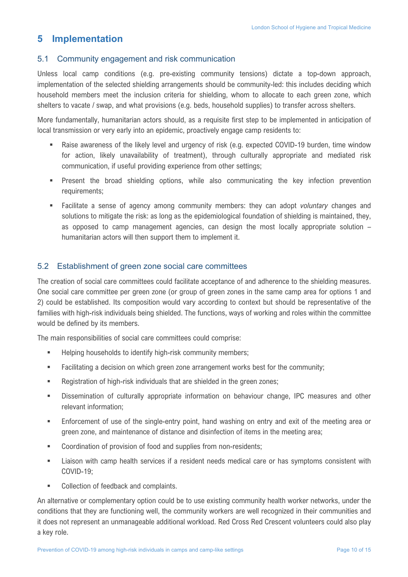## **5 Implementation**

#### 5.1 Community engagement and risk communication

Unless local camp conditions (e.g. pre-existing community tensions) dictate a top-down approach, implementation of the selected shielding arrangements should be community-led: this includes deciding which household members meet the inclusion criteria for shielding, whom to allocate to each green zone, which shelters to vacate / swap, and what provisions (e.g. beds, household supplies) to transfer across shelters.

More fundamentally, humanitarian actors should, as a requisite first step to be implemented in anticipation of local transmission or very early into an epidemic, proactively engage camp residents to:

- Raise awareness of the likely level and urgency of risk (e.g. expected COVID-19 burden, time window for action, likely unavailability of treatment), through culturally appropriate and mediated risk communication, if useful providing experience from other settings;
- § Present the broad shielding options, while also communicating the key infection prevention requirements;
- § Facilitate a sense of agency among community members: they can adopt *voluntary* changes and solutions to mitigate the risk: as long as the epidemiological foundation of shielding is maintained, they, as opposed to camp management agencies, can design the most locally appropriate solution – humanitarian actors will then support them to implement it.

#### 5.2 Establishment of green zone social care committees

The creation of social care committees could facilitate acceptance of and adherence to the shielding measures. One social care committee per green zone (or group of green zones in the same camp area for options 1 and 2) could be established. Its composition would vary according to context but should be representative of the families with high-risk individuals being shielded. The functions, ways of working and roles within the committee would be defined by its members.

The main responsibilities of social care committees could comprise:

- **■** Helping households to identify high-risk community members;
- **■** Facilitating a decision on which green zone arrangement works best for the community;
- **■** Registration of high-risk individuals that are shielded in the green zones;
- § Dissemination of culturally appropriate information on behaviour change, IPC measures and other relevant information;
- § Enforcement of use of the single-entry point, hand washing on entry and exit of the meeting area or green zone, and maintenance of distance and disinfection of items in the meeting area;
- Coordination of provision of food and supplies from non-residents;
- Liaison with camp health services if a resident needs medical care or has symptoms consistent with COVID-19;
- Collection of feedback and complaints.

An alternative or complementary option could be to use existing community health worker networks, under the conditions that they are functioning well, the community workers are well recognized in their communities and it does not represent an unmanageable additional workload. Red Cross Red Crescent volunteers could also play a key role.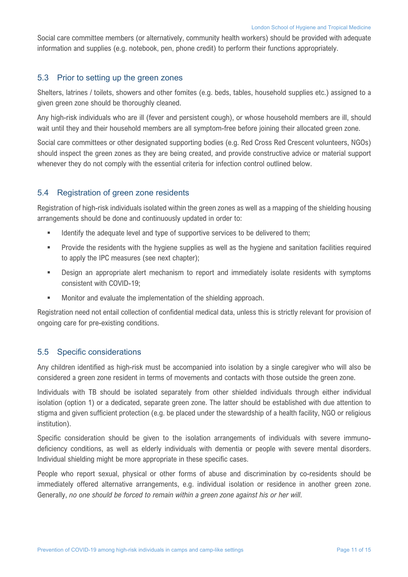Social care committee members (or alternatively, community health workers) should be provided with adequate information and supplies (e.g. notebook, pen, phone credit) to perform their functions appropriately.

#### 5.3 Prior to setting up the green zones

Shelters, latrines / toilets, showers and other fomites (e.g. beds, tables, household supplies etc.) assigned to a given green zone should be thoroughly cleaned.

Any high-risk individuals who are ill (fever and persistent cough), or whose household members are ill, should wait until they and their household members are all symptom-free before joining their allocated green zone.

Social care committees or other designated supporting bodies (e.g. Red Cross Red Crescent volunteers, NGOs) should inspect the green zones as they are being created, and provide constructive advice or material support whenever they do not comply with the essential criteria for infection control outlined below.

#### 5.4 Registration of green zone residents

Registration of high-risk individuals isolated within the green zones as well as a mapping of the shielding housing arrangements should be done and continuously updated in order to:

- Identify the adequate level and type of supportive services to be delivered to them;
- **■** Provide the residents with the hygiene supplies as well as the hygiene and sanitation facilities required to apply the IPC measures (see next chapter);
- § Design an appropriate alert mechanism to report and immediately isolate residents with symptoms consistent with COVID-19;
- Monitor and evaluate the implementation of the shielding approach.

Registration need not entail collection of confidential medical data, unless this is strictly relevant for provision of ongoing care for pre-existing conditions.

#### 5.5 Specific considerations

Any children identified as high-risk must be accompanied into isolation by a single caregiver who will also be considered a green zone resident in terms of movements and contacts with those outside the green zone.

Individuals with TB should be isolated separately from other shielded individuals through either individual isolation (option 1) or a dedicated, separate green zone. The latter should be established with due attention to stigma and given sufficient protection (e.g. be placed under the stewardship of a health facility, NGO or religious institution).

Specific consideration should be given to the isolation arrangements of individuals with severe immunodeficiency conditions, as well as elderly individuals with dementia or people with severe mental disorders. Individual shielding might be more appropriate in these specific cases.

People who report sexual, physical or other forms of abuse and discrimination by co-residents should be immediately offered alternative arrangements, e.g. individual isolation or residence in another green zone. Generally, *no one should be forced to remain within a green zone against his or her will*.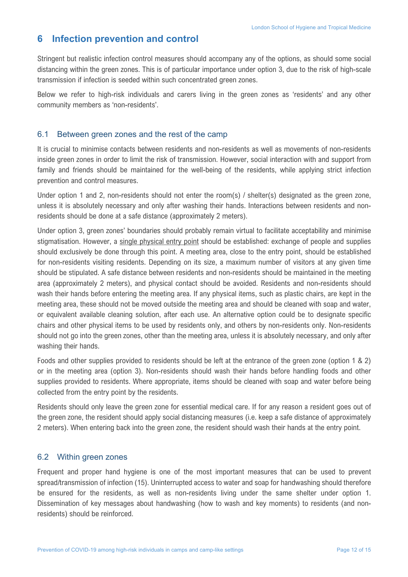## **6 Infection prevention and control**

Stringent but realistic infection control measures should accompany any of the options, as should some social distancing within the green zones. This is of particular importance under option 3, due to the risk of high-scale transmission if infection is seeded within such concentrated green zones.

Below we refer to high-risk individuals and carers living in the green zones as 'residents' and any other community members as 'non-residents'.

### 6.1 Between green zones and the rest of the camp

It is crucial to minimise contacts between residents and non-residents as well as movements of non-residents inside green zones in order to limit the risk of transmission. However, social interaction with and support from family and friends should be maintained for the well-being of the residents, while applying strict infection prevention and control measures.

Under option 1 and 2, non-residents should not enter the room(s) / shelter(s) designated as the green zone, unless it is absolutely necessary and only after washing their hands. Interactions between residents and nonresidents should be done at a safe distance (approximately 2 meters).

Under option 3, green zones' boundaries should probably remain virtual to facilitate acceptability and minimise stigmatisation. However, a single physical entry point should be established: exchange of people and supplies should exclusively be done through this point. A meeting area, close to the entry point, should be established for non-residents visiting residents. Depending on its size, a maximum number of visitors at any given time should be stipulated. A safe distance between residents and non-residents should be maintained in the meeting area (approximately 2 meters), and physical contact should be avoided. Residents and non-residents should wash their hands before entering the meeting area. If any physical items, such as plastic chairs, are kept in the meeting area, these should not be moved outside the meeting area and should be cleaned with soap and water, or equivalent available cleaning solution, after each use. An alternative option could be to designate specific chairs and other physical items to be used by residents only, and others by non-residents only. Non-residents should not go into the green zones, other than the meeting area, unless it is absolutely necessary, and only after washing their hands.

Foods and other supplies provided to residents should be left at the entrance of the green zone (option 1 & 2) or in the meeting area (option 3). Non-residents should wash their hands before handling foods and other supplies provided to residents. Where appropriate, items should be cleaned with soap and water before being collected from the entry point by the residents.

Residents should only leave the green zone for essential medical care. If for any reason a resident goes out of the green zone, the resident should apply social distancing measures (i.e. keep a safe distance of approximately 2 meters). When entering back into the green zone, the resident should wash their hands at the entry point.

#### 6.2 Within green zones

Frequent and proper hand hygiene is one of the most important measures that can be used to prevent spread/transmission of infection (15). Uninterrupted access to water and soap for handwashing should therefore be ensured for the residents, as well as non-residents living under the same shelter under option 1. Dissemination of key messages about handwashing (how to wash and key moments) to residents (and nonresidents) should be reinforced.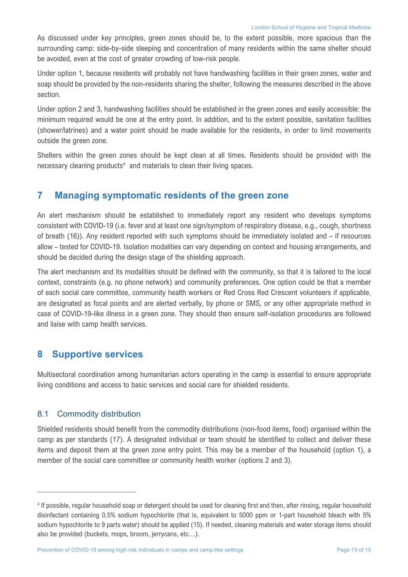As discussed under key principles, green zones should be, to the extent possible, more spacious than the surrounding camp: side-by-side sleeping and concentration of many residents within the same shelter should be avoided, even at the cost of greater crowding of low-risk people.

Under option 1, because residents will probably not have handwashing facilities in their green zones, water and soap should be provided by the non-residents sharing the shelter, following the measures described in the above section.

Under option 2 and 3, handwashing facilities should be established in the green zones and easily accessible: the minimum required would be one at the entry point. In addition, and to the extent possible, sanitation facilities (shower/latrines) and a water point should be made available for the residents, in order to limit movements outside the green zone.

Shelters within the green zones should be kept clean at all times. Residents should be provided with the necessary cleaning products<sup>4</sup> and materials to clean their living spaces.

## **7 Managing symptomatic residents of the green zone**

An alert mechanism should be established to immediately report any resident who develops symptoms consistent with COVID-19 (i.e. fever and at least one sign/symptom of respiratory disease, e.g., cough, shortness of breath (16)). Any resident reported with such symptoms should be immediately isolated and – if resources allow – tested for COVID-19. Isolation modalities can vary depending on context and housing arrangements, and should be decided during the design stage of the shielding approach.

The alert mechanism and its modalities should be defined with the community, so that it is tailored to the local context, constraints (e.g. no phone network) and community preferences. One option could be that a member of each social care committee, community health workers or Red Cross Red Crescent volunteers if applicable, are designated as focal points and are alerted verbally, by phone or SMS, or any other appropriate method in case of COVID-19-like illness in a green zone. They should then ensure self-isolation procedures are followed and liaise with camp health services.

## **8 Supportive services**

Multisectoral coordination among humanitarian actors operating in the camp is essential to ensure appropriate living conditions and access to basic services and social care for shielded residents.

#### 8.1 Commodity distribution

Shielded residents should benefit from the commodity distributions (non-food items, food) organised within the camp as per standards (17). A designated individual or team should be identified to collect and deliver these items and deposit them at the green zone entry point. This may be a member of the household (option 1), a member of the social care committee or community health worker (options 2 and 3).

<sup>4</sup> If possible, regular household soap or detergent should be used for cleaning first and then, after rinsing, regular household disinfectant containing 0.5% sodium hypochlorite (that is, equivalent to 5000 ppm or 1-part household bleach with 5% sodium hypochlorite to 9 parts water) should be applied (15). If needed, cleaning materials and water storage items should also be provided (buckets, mops, broom, jerrycans, etc…).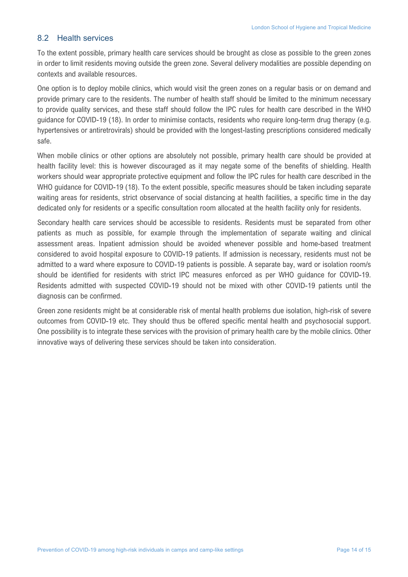#### 8.2 Health services

To the extent possible, primary health care services should be brought as close as possible to the green zones in order to limit residents moving outside the green zone. Several delivery modalities are possible depending on contexts and available resources.

One option is to deploy mobile clinics, which would visit the green zones on a regular basis or on demand and provide primary care to the residents. The number of health staff should be limited to the minimum necessary to provide quality services, and these staff should follow the IPC rules for health care described in the WHO guidance for COVID-19 (18). In order to minimise contacts, residents who require long-term drug therapy (e.g. hypertensives or antiretrovirals) should be provided with the longest-lasting prescriptions considered medically safe.

When mobile clinics or other options are absolutely not possible, primary health care should be provided at health facility level: this is however discouraged as it may negate some of the benefits of shielding. Health workers should wear appropriate protective equipment and follow the IPC rules for health care described in the WHO guidance for COVID-19 (18). To the extent possible, specific measures should be taken including separate waiting areas for residents, strict observance of social distancing at health facilities, a specific time in the day dedicated only for residents or a specific consultation room allocated at the health facility only for residents.

Secondary health care services should be accessible to residents. Residents must be separated from other patients as much as possible, for example through the implementation of separate waiting and clinical assessment areas. Inpatient admission should be avoided whenever possible and home-based treatment considered to avoid hospital exposure to COVID-19 patients. If admission is necessary, residents must not be admitted to a ward where exposure to COVID-19 patients is possible. A separate bay, ward or isolation room/s should be identified for residents with strict IPC measures enforced as per WHO guidance for COVID-19. Residents admitted with suspected COVID-19 should not be mixed with other COVID-19 patients until the diagnosis can be confirmed.

Green zone residents might be at considerable risk of mental health problems due isolation, high-risk of severe outcomes from COVID-19 etc. They should thus be offered specific mental health and psychosocial support. One possibility is to integrate these services with the provision of primary health care by the mobile clinics. Other innovative ways of delivering these services should be taken into consideration.